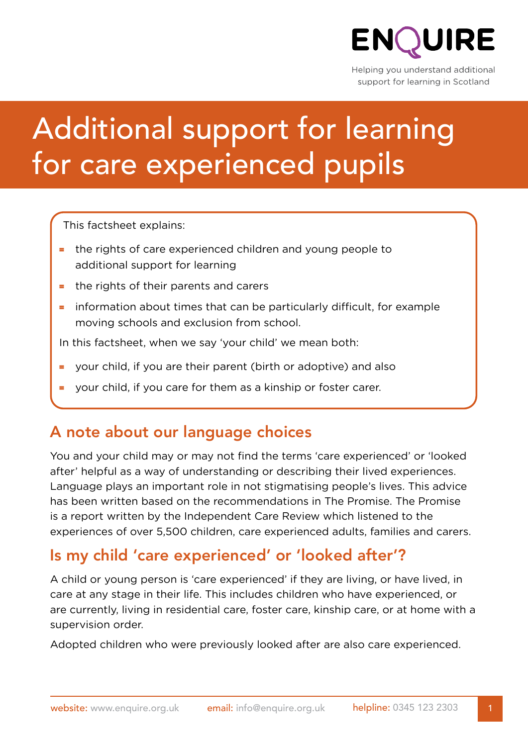

Helping you understand additional support for learning in Scotland

# Additional support for learning for care experienced pupils

This factsheet explains:

- = the rights of care experienced children and young people to additional support for learning
- = the rights of their parents and carers
- = information about times that can be particularly difficult, for example moving schools and exclusion from school.

In this factsheet, when we say 'your child' we mean both:

- = your child, if you are their parent (birth or adoptive) and also
- your child, if you care for them as a kinship or foster carer.

#### A note about our language choices

You and your child may or may not find the terms 'care experienced' or 'looked after' helpful as a way of understanding or describing their lived experiences. Language plays an important role in not stigmatising people's lives. This advice has been written based on the recommendations in The Promise. The Promise is a report written by the Independent Care Review which listened to the experiences of over 5,500 children, care experienced adults, families and carers.

#### Is my child 'care experienced' or 'looked after'?

A child or young person is 'care experienced' if they are living, or have lived, in care at any stage in their life. This includes children who have experienced, or are currently, living in residential care, foster care, kinship care, or at home with a supervision order.

Adopted children who were previously looked after are also care experienced.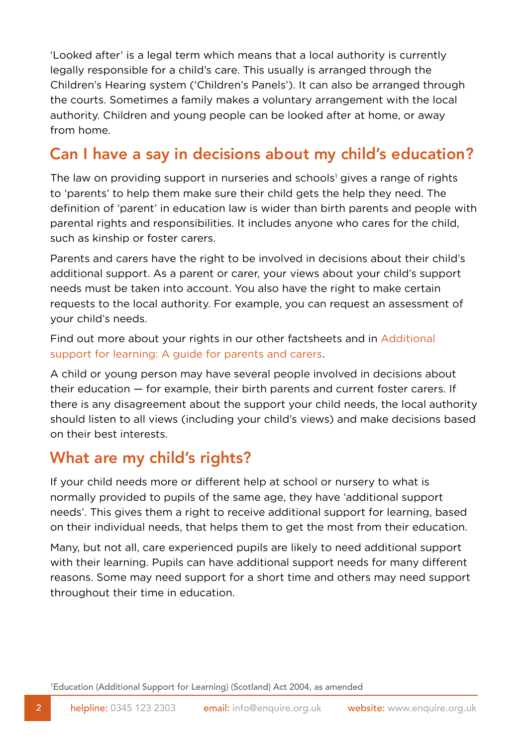'Looked after' is a legal term which means that a local authority is currently legally responsible for a child's care. This usually is arranged through the Children's Hearing system ('Children's Panels'). It can also be arranged through the courts. Sometimes a family makes a voluntary arrangement with the local authority. Children and young people can be looked after at home, or away from home.

### Can I have a say in decisions about my child's education?

The law on providing support in nurseries and schools<sup>1</sup> gives a range of rights to 'parents' to help them make sure their child gets the help they need. The definition of 'parent' in education law is wider than birth parents and people with parental rights and responsibilities. It includes anyone who cares for the child, such as kinship or foster carers.

Parents and carers have the right to be involved in decisions about their child's additional support. As a parent or carer, your views about your child's support needs must be taken into account. You also have the right to make certain requests to the local authority. For example, you can request an assessment of your child's needs.

Find out more about your rights in our other factsheets and in [Additional](https://enquire.org.uk/3175/wp-content/uploads/2020/02/asl-guide-parents-carers.pdf)  [support for learning: A guide for parents and carers](https://enquire.org.uk/3175/wp-content/uploads/2020/02/asl-guide-parents-carers.pdf).

A child or young person may have several people involved in decisions about their education — for example, their birth parents and current foster carers. If there is any disagreement about the support your child needs, the local authority should listen to all views (including your child's views) and make decisions based on their best interests.

#### What are my child's rights?

If your child needs more or different help at school or nursery to what is normally provided to pupils of the same age, they have 'additional support needs'. This gives them a right to receive additional support for learning, based on their individual needs, that helps them to get the most from their education.

Many, but not all, care experienced pupils are likely to need additional support with their learning. Pupils can have additional support needs for many different reasons. Some may need support for a short time and others may need support throughout their time in education.

1 [Education \(Additional Support for Learning\) \(Scotland\) Act 2004,](https://www.legislation.gov.uk/asp/2004/4/contents) as amended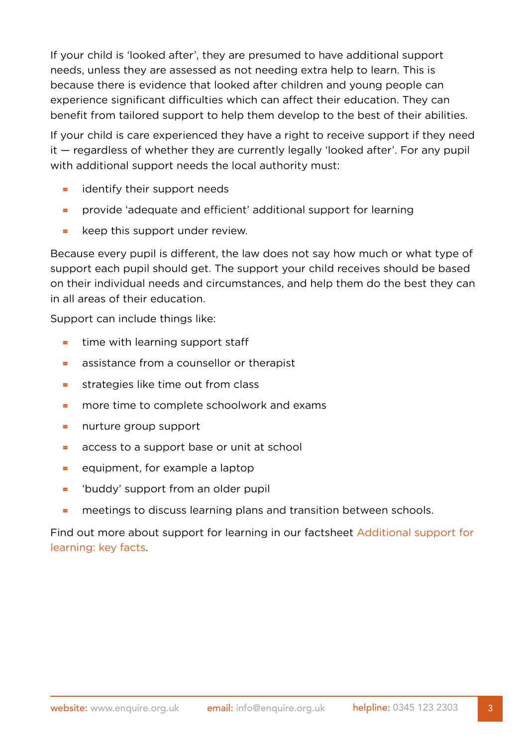If your child is 'looked after', they are presumed to have additional support needs, unless they are assessed as not needing extra help to learn. This is because there is evidence that looked after children and young people can experience significant difficulties which can affect their education. They can benefit from tailored support to help them develop to the best of their abilities.

If your child is care experienced they have a right to receive support if they need it — regardless of whether they are currently legally 'looked after'. For any pupil with additional support needs the local authority must:

- = identify their support needs
- = provide 'adequate and efficient' additional support for learning
- = keep this support under review.

Because every pupil is different, the law does not say how much or what type of support each pupil should get. The support your child receives should be based on their individual needs and circumstances, and help them do the best they can in all areas of their education.

Support can include things like:

- = time with learning support staff
- = assistance from a counsellor or therapist
- $=$  strategies like time out from class
- = more time to complete schoolwork and exams
- = nurture group support
- = access to a support base or unit at school
- = equipment, for example a laptop
- = 'buddy' support from an older pupil
- = meetings to discuss learning plans and transition between schools.

Find out more about support for learning in our factsheet [Additional support for](https://enquire.org.uk/3175/wp-content/uploads/2020/02/asl-key-facts.pdf)  [learning: key facts](https://enquire.org.uk/3175/wp-content/uploads/2020/02/asl-key-facts.pdf).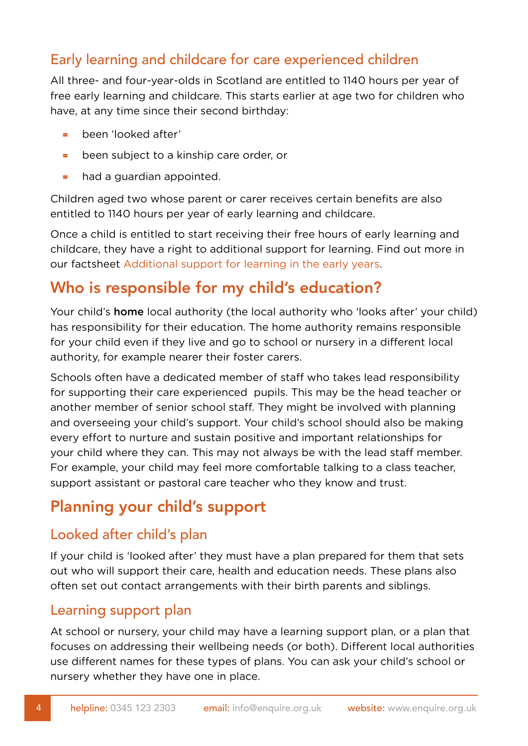#### Early learning and childcare for care experienced children

All three- and four-year-olds in Scotland are entitled to 1140 hours per year of free early learning and childcare. This starts earlier at age two for children who have, at any time since their second birthday:

- $\equiv$  been 'looked after'
- = been subject to a kinship care order, or
- $\blacksquare$  had a guardian appointed.

Children aged two whose parent or carer receives certain benefits are also entitled to 1140 hours per year of early learning and childcare.

Once a child is entitled to start receiving their free hours of early learning and childcare, they have a right to additional support for learning. Find out more in our factsheet [Additional support for learning in the early years](https://enquire.org.uk/3175/wp-content/uploads/2020/02/asl-early-years.pdf).

## Who is responsible for my child's education?

Your child's **home** local authority (the local authority who 'looks after' your child) has responsibility for their education. The home authority remains responsible for your child even if they live and go to school or nursery in a different local authority, for example nearer their foster carers.

Schools often have a dedicated member of staff who takes lead responsibility for supporting their care experienced pupils. This may be the head teacher or another member of senior school staff. They might be involved with planning and overseeing your child's support. Your child's school should also be making every effort to nurture and sustain positive and important relationships for your child where they can. This may not always be with the lead staff member. For example, your child may feel more comfortable talking to a class teacher, support assistant or pastoral care teacher who they know and trust.

### Planning your child's support

#### Looked after child's plan

If your child is 'looked after' they must have a plan prepared for them that sets out who will support their care, health and education needs. These plans also often set out contact arrangements with their birth parents and siblings.

#### Learning support plan

At school or nursery, your child may have a learning support plan, or a plan that focuses on addressing their wellbeing needs (or both). Different local authorities use different names for these types of plans. You can ask your child's school or nursery whether they have one in place.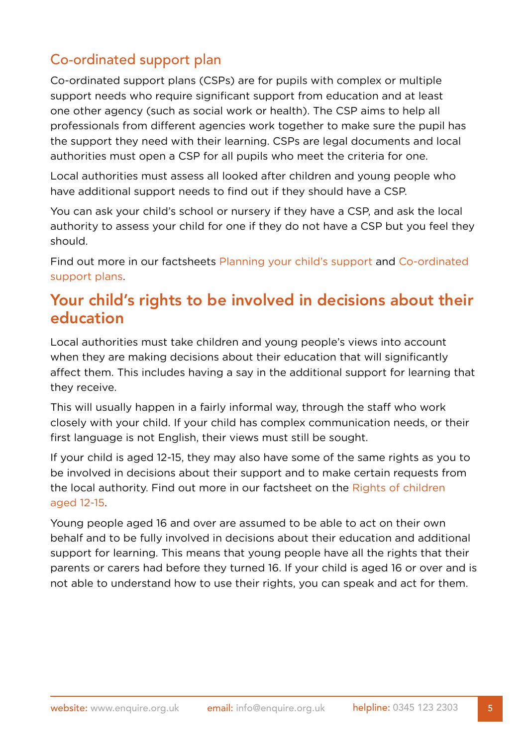#### Co-ordinated support plan

Co-ordinated support plans (CSPs) are for pupils with complex or multiple support needs who require significant support from education and at least one other agency (such as social work or health). The CSP aims to help all professionals from different agencies work together to make sure the pupil has the support they need with their learning. CSPs are legal documents and local authorities must open a CSP for all pupils who meet the criteria for one.

Local authorities must assess all looked after children and young people who have additional support needs to find out if they should have a CSP.

You can ask your child's school or nursery if they have a CSP, and ask the local authority to assess your child for one if they do not have a CSP but you feel they should.

Find out more in our factsheets [Planning your child's support](https://enquire.org.uk/3175/wp-content/uploads/2020/02/planning.pdf) and [Co-ordinated](https://enquire.org.uk/3175/wp-content/uploads/2020/02/csps.pdf)  [support plans](https://enquire.org.uk/3175/wp-content/uploads/2020/02/csps.pdf).

#### Your child's rights to be involved in decisions about their education

Local authorities must take children and young people's views into account when they are making decisions about their education that will significantly affect them. This includes having a say in the additional support for learning that they receive.

This will usually happen in a fairly informal way, through the staff who work closely with your child. If your child has complex communication needs, or their first language is not English, their views must still be sought.

If your child is aged 12-15, they may also have some of the same rights as you to be involved in decisions about their support and to make certain requests from the local authority. Find out more in our factsheet on the [Rights of children](https://enquire.org.uk/3175/wp-content/uploads/2020/02/rights-12-15.pdf)  [aged 12-15.](https://enquire.org.uk/3175/wp-content/uploads/2020/02/rights-12-15.pdf)

Young people aged 16 and over are assumed to be able to act on their own behalf and to be fully involved in decisions about their education and additional support for learning. This means that young people have all the rights that their parents or carers had before they turned 16. If your child is aged 16 or over and is not able to understand how to use their rights, you can speak and act for them.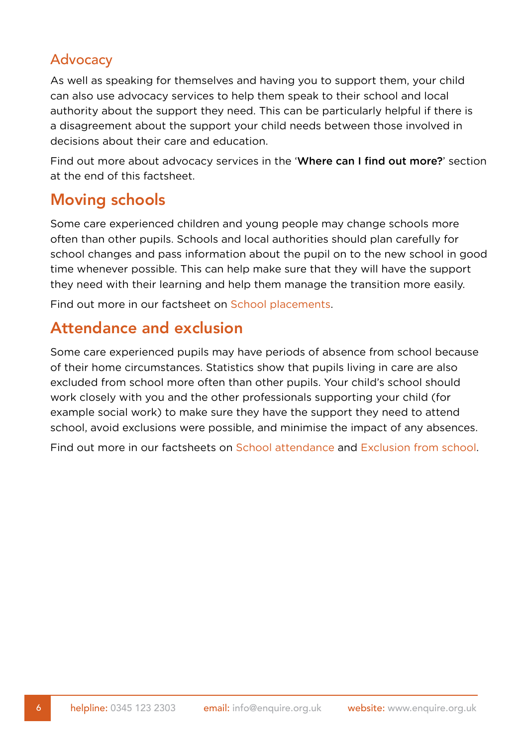#### Advocacy

As well as speaking for themselves and having you to support them, your child can also use advocacy services to help them speak to their school and local authority about the support they need. This can be particularly helpful if there is a disagreement about the support your child needs between those involved in decisions about their care and education.

Find out more about advocacy services in the 'Where can I find out more?' section at the end of this factsheet.

#### Moving schools

Some care experienced children and young people may change schools more often than other pupils. Schools and local authorities should plan carefully for school changes and pass information about the pupil on to the new school in good time whenever possible. This can help make sure that they will have the support they need with their learning and help them manage the transition more easily.

Find out more in our factsheet on [School placements.](https://enquire.org.uk/3175/wp-content/uploads/2020/02/school-placements.pdf)

#### Attendance and exclusion

Some care experienced pupils may have periods of absence from school because of their home circumstances. Statistics show that pupils living in care are also excluded from school more often than other pupils. Your child's school should work closely with you and the other professionals supporting your child (for example social work) to make sure they have the support they need to attend school, avoid exclusions were possible, and minimise the impact of any absences.

Find out more in our factsheets on [School attendance](https://enquire.org.uk/3175/wp-content/uploads/2020/02/school-attendance.pdf) and [Exclusion from school](https://enquire.org.uk/3175/wp-content/uploads/2020/02/exclusion-school.pdf).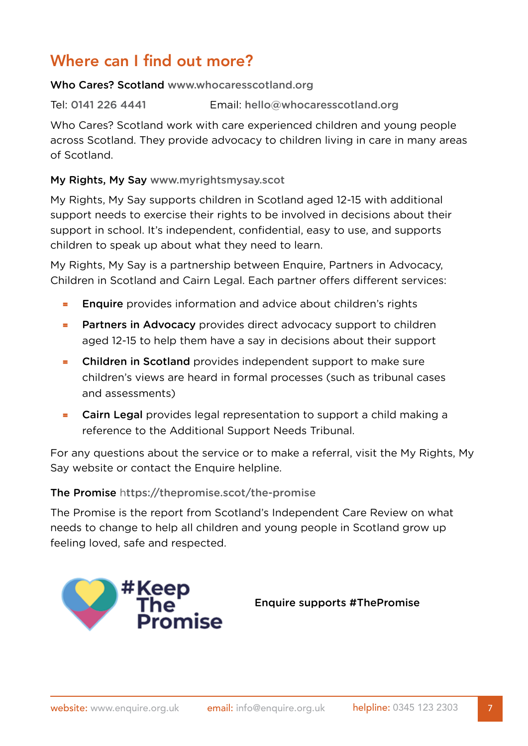# Where can I find out more?

#### Who Cares? Scotland [www.whocaresscotland.org](http://www.whocaresscotland.org)

Tel: 0141 226 4441 Email: [hello@whocaresscotland.org](mailto:hello@whocaresscotland.org)

Who Cares? Scotland work with care experienced children and young people across Scotland. They provide advocacy to children living in care in many areas of Scotland.

#### My Rights, My Say www.myrightsmysay.scot

My Rights, My Say supports children in Scotland aged 12-15 with additional support needs to exercise their rights to be involved in decisions about their support in school. It's independent, confidential, easy to use, and supports children to speak up about what they need to learn.

My Rights, My Say is a partnership between Enquire, Partners in Advocacy, Children in Scotland and Cairn Legal. Each partner offers different services:

- **Enquire** provides information and advice about children's rights
- **= Partners in Advocacy** provides direct advocacy support to children aged 12-15 to help them have a say in decisions about their support
- = Children in Scotland provides independent support to make sure children's views are heard in formal processes (such as tribunal cases and assessments)
- = Cairn Legal provides legal representation to support a child making a reference to the Additional Support Needs Tribunal.

For any questions about the service or to make a referral, visit the My Rights, My Say website or contact the Enquire helpline.

#### The Promise h[ttps://thepromise.scot/the-promise](https://thepromise.scot/the-promise)

The Promise is the report from Scotland's Independent Care Review on what needs to change to help all children and young people in Scotland grow up feeling loved, safe and respected.



Enquire supports #ThePromise